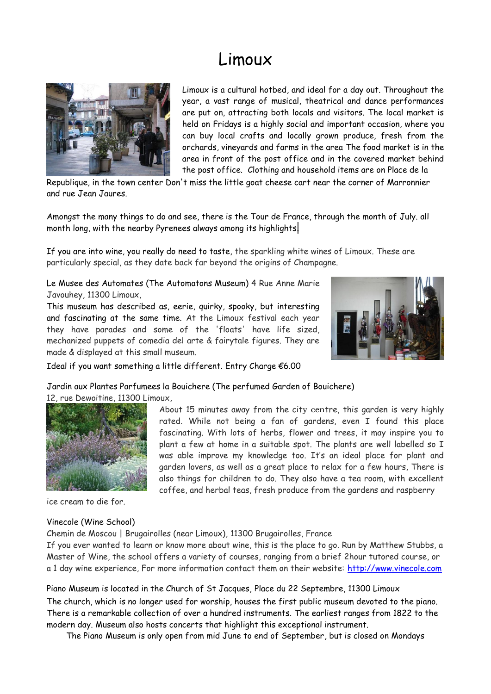## Limoux



Limoux is a cultural hotbed, and ideal for a day out. Throughout the year, a vast range of musical, theatrical and dance performances are put on, attracting both locals and visitors. The local market is held on Fridays is a highly social and important occasion, where you can buy local crafts and locally grown produce, fresh from the orchards, vineyards and farms in the area The food market is in the area in front of the post office and in the covered market behind the post office. Clothing and household items are on Place de la

Republique, in the town center Don't miss the little goat cheese cart near the corner of Marronnier and rue Jean Jaures.

Amongst the many things to do and see, there is the Tour de France, through the month of July. all month long, with the nearby Pyrenees always among its highlights.

If you are into wine, you really do need to taste, the sparkling white wines of Limoux. These are particularly special, as they date back far beyond the origins of Champagne.

Le Musee des Automates (The Automatons Museum) 4 Rue Anne Marie Javouhey, 11300 Limoux,

This museum has described as, eerie, quirky, spooky, but interesting and fascinating at the same time. At the Limoux festival each year they have parades and some of the 'floats' have life sized, mechanized puppets of comedia del arte & fairytale figures. They are made & displayed at this small museum.



Ideal if you want something a little different. Entry Charge €6.00

Jardin aux Plantes Parfumees la Bouichere (The perfumed Garden of Bouichere)

12, rue Dewoitine, 11300 Limoux,



ice cream to die for.

## Vinecole (Wine School)

About 15 minutes away from the city centre, this garden is very highly rated. While not being a fan of gardens, even I found this place fascinating. With lots of herbs, flower and trees, it may inspire you to plant a few at home in a suitable spot. The plants are well labelled so I was able improve my knowledge too. It's an ideal place for plant and garden lovers, as well as a great place to relax for a few hours, There is also things for children to do. They also have a tea room, with excellent coffee, and herbal teas, fresh produce from the gardens and raspberry

Chemin de Moscou | Brugairolles (near Limoux), 11300 Brugairolles, France

If you ever wanted to learn or know more about wine, this is the place to go. Run by Matthew Stubbs, a Master of Wine, the school offers a variety of courses, ranging from a brief 2hour tutored course, or a 1 day wine experience, For more information contact them on their website: [http://www.vinecole.com](http://www.vinecole.com/)

Piano Museum is located in the Church of St Jacques, Place du 22 Septembre, 11300 Limoux The church, which is no longer used for worship, houses the first public museum devoted to the piano. There is a remarkable collection of over a hundred instruments. The earliest ranges from 1822 to the modern day. Museum also hosts concerts that highlight this exceptional instrument.

The Piano Museum is only open from mid June to end of September, but is closed on Mondays